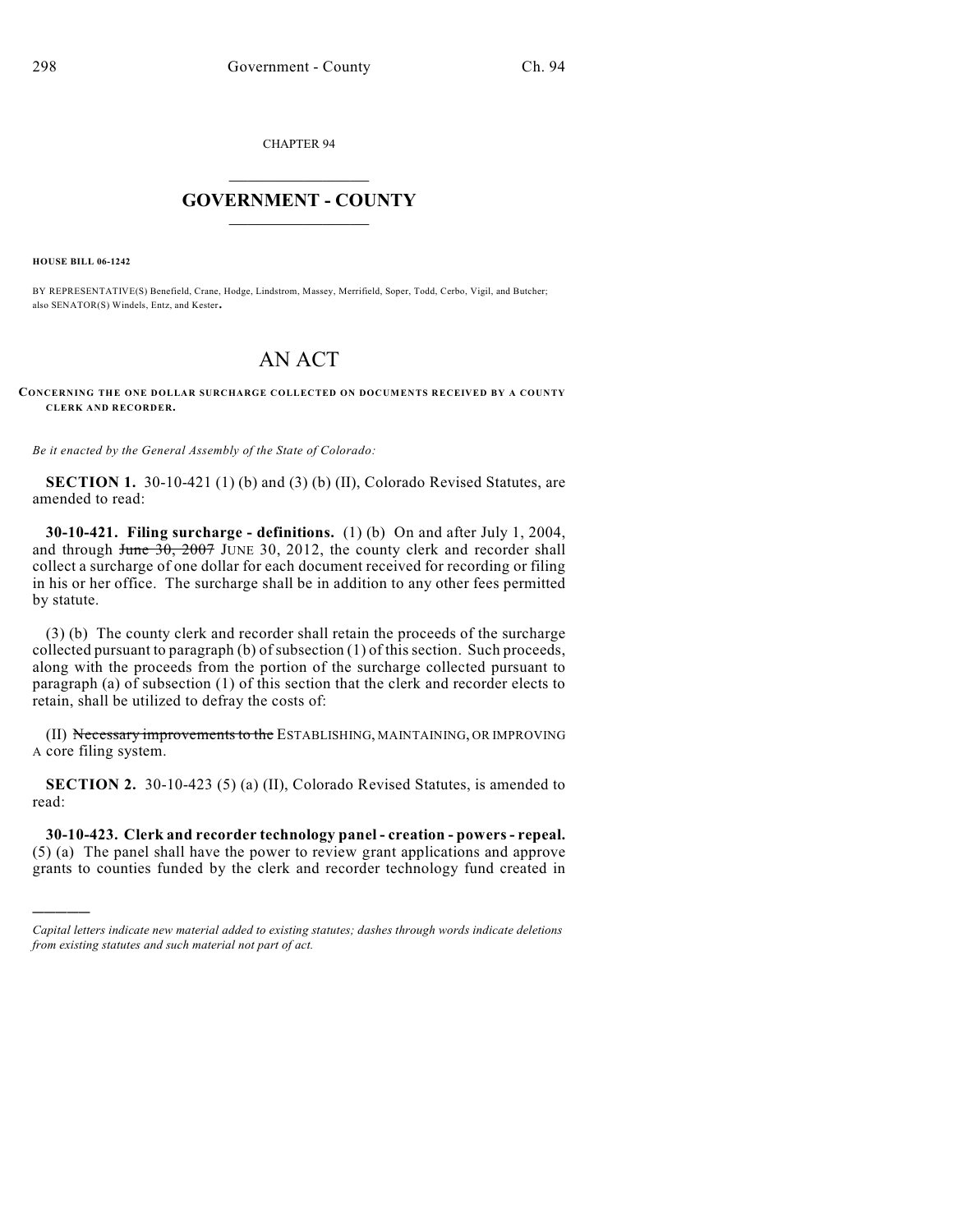CHAPTER 94

## $\mathcal{L}_\text{max}$  . The set of the set of the set of the set of the set of the set of the set of the set of the set of the set of the set of the set of the set of the set of the set of the set of the set of the set of the set **GOVERNMENT - COUNTY**  $\_$

**HOUSE BILL 06-1242**

)))))

BY REPRESENTATIVE(S) Benefield, Crane, Hodge, Lindstrom, Massey, Merrifield, Soper, Todd, Cerbo, Vigil, and Butcher; also SENATOR(S) Windels, Entz, and Kester.

## AN ACT

**CONCERNING THE ONE DOLLAR SURCHARGE COLLECTED ON DOCUMENTS RECEIVED BY A COUNTY CLERK AND RECORDER.**

*Be it enacted by the General Assembly of the State of Colorado:*

**SECTION 1.** 30-10-421 (1) (b) and (3) (b) (II), Colorado Revised Statutes, are amended to read:

**30-10-421. Filing surcharge - definitions.** (1) (b) On and after July 1, 2004, and through  $\frac{30}{2007}$  JUNE 30, 2012, the county clerk and recorder shall collect a surcharge of one dollar for each document received for recording or filing in his or her office. The surcharge shall be in addition to any other fees permitted by statute.

(3) (b) The county clerk and recorder shall retain the proceeds of the surcharge collected pursuant to paragraph (b) of subsection (1) of this section. Such proceeds, along with the proceeds from the portion of the surcharge collected pursuant to paragraph (a) of subsection (1) of this section that the clerk and recorder elects to retain, shall be utilized to defray the costs of:

(II) Necessary improvements to the ESTABLISHING, MAINTAINING, OR IMPROVING A core filing system.

**SECTION 2.** 30-10-423 (5) (a) (II), Colorado Revised Statutes, is amended to read:

**30-10-423. Clerk and recorder technology panel - creation - powers - repeal.** (5) (a) The panel shall have the power to review grant applications and approve grants to counties funded by the clerk and recorder technology fund created in

*Capital letters indicate new material added to existing statutes; dashes through words indicate deletions from existing statutes and such material not part of act.*